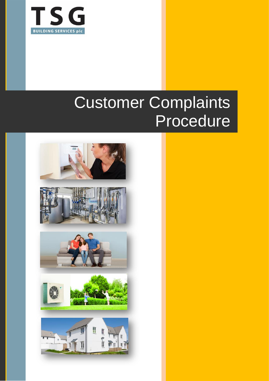

# Customer Complaints Procedure

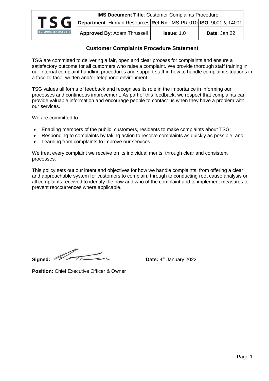

# **Customer Complaints Procedure Statement**

TSG are committed to delivering a fair, open and clear process for complaints and ensure a satisfactory outcome for all customers who raise a complaint. We provide thorough staff training in our internal complaint handling procedures and support staff in how to handle complaint situations in a face-to-face, written and/or telephone environment.

TSG values all forms of feedback and recognises its role in the importance in informing our processes and continuous improvement. As part of this feedback, we respect that complaints can provide valuable information and encourage people to contact us when they have a problem with our services.

We are committed to:

- Enabling members of the public, customers, residents to make complaints about TSG;
- Responding to complaints by taking action to resolve complaints as quickly as possible; and
- Learning from complaints to improve our services.

We treat every complaint we receive on its individual merits, through clear and consistent processes.

This policy sets out our intent and objectives for how we handle complaints, from offering a clear and approachable system for customers to complain, through to conducting root cause analysis on all complaints received to identify the how and who of the complaint and to implement measures to prevent reoccurrences where applicable.

Signed:

Date: 4<sup>th</sup> January 2022

**Position:** Chief Executive Officer & Owner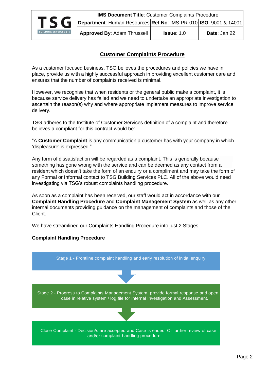

# **Customer Complaints Procedure**

As a customer focused business, TSG believes the procedures and policies we have in place, provide us with a highly successful approach in providing excellent customer care and ensures that the number of complaints received is minimal.

However, we recognise that when residents or the general public make a complaint, it is because service delivery has failed and we need to undertake an appropriate investigation to ascertain the reason(s) why and where appropriate implement measures to improve service delivery.

TSG adheres to the Institute of Customer Services definition of a complaint and therefore believes a compliant for this contract would be:

"A **Customer Complaint** is any communication a customer has with your company in which 'displeasure' is expressed."

Any form of dissatisfaction will be regarded as a complaint. This is generally because something has gone wrong with the service and can be deemed as any contact from a resident which doesn't take the form of an enquiry or a compliment and may take the form of any Formal or Informal contact to TSG Building Services PLC. All of the above would need investigating via TSG's robust complaints handling procedure.

As soon as a complaint has been received, our staff would act in accordance with our **Complaint Handling Procedure** and **Complaint Management System** as well as any other internal documents providing guidance on the management of complaints and those of the Client.

We have streamlined our Complaints Handling Procedure into just 2 Stages.

# **Complaint Handling Procedure**

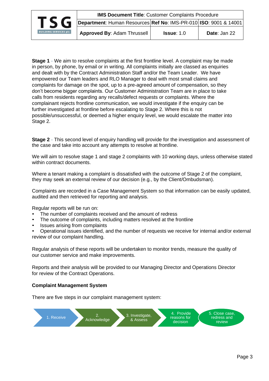**IMS Document Title: Customer Complaints Procedure Department**: Human Resources **Ref No**: IMS-PR-010 **ISO**: 9001 & 14001



**Approved By**: Adam Thrussell **Issue**: 1.0 **Date**: Jan 22

**Stage 1** - We aim to resolve complaints at the first frontline level. A complaint may be made in person, by phone, by email or in writing. All complaints initially are classed as enquiries and dealt with by the Contract Administration Staff and/or the Team Leader. We have empowered our Team leaders and RLO Manager to deal with most small claims and complaints for damage on the spot, up to a pre-agreed amount of compensation, so they don't become bigger complaints. Our Customer Administration Team are in place to take calls from residents regarding any recalls/defect requests or complaints. Where the complainant rejects frontline communication, we would investigate if the enquiry can be further investigated at frontline before escalating to Stage 2. Where this is not possible/unsuccessful, or deemed a higher enquiry level, we would escalate the matter into Stage 2.

**Stage 2** - This second level of enquiry handling will provide for the investigation and assessment of the case and take into account any attempts to resolve at frontline.

We will aim to resolve stage 1 and stage 2 complaints with 10 working days, unless otherwise stated within contract documents.

Where a tenant making a complaint is dissatisfied with the outcome of Stage 2 of the complaint, they may seek an external review of our decision (e.g., by the Client/Ombudsman).

Complaints are recorded in a Case Management System so that information can be easily updated, audited and then retrieved for reporting and analysis.

Regular reports will be run on:

- The number of complaints received and the amount of redress
- The outcome of complaints, including matters resolved at the frontline
- Issues arising from complaints

• Operational issues identified, and the number of requests we receive for internal and/or external review of our complaint handling.

Regular analysis of these reports will be undertaken to monitor trends, measure the quality of our customer service and make improvements.

Reports and their analysis will be provided to our Managing Director and Operations Director for review of the Contract Operations.

#### **Complaint Management System**

There are five steps in our complaint management system:

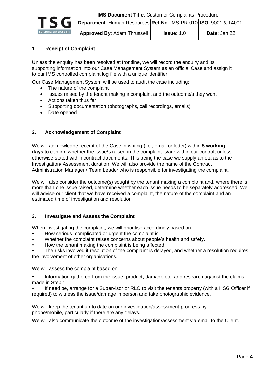

# **1. Receipt of Complaint**

Unless the enquiry has been resolved at frontline, we will record the enquiry and its supporting information into our Case Management System as an official Case and assign it to our IMS controlled complaint log file with a unique identifier.

Our Case Management System will be used to audit the case including:

- The nature of the complaint
- Issues raised by the tenant making a complaint and the outcome/s they want
- Actions taken thus far
- Supporting documentation (photographs, call recordings, emails)
- Date opened

### **2. Acknowledgement of Complaint**

We will acknowledge receipt of the Case in writing (i.e., email or letter) within **5 working days** to confirm whether the issue/s raised in the complaint is/are within our control, unless otherwise stated within contract documents. This being the case we supply an eta as to the Investigation/ Assessment duration. We will also provide the name of the Contract Administration Manager / Team Leader who is responsible for investigating the complaint.

We will also consider the outcome(s) sought by the tenant making a complaint and, where there is more than one issue raised, determine whether each issue needs to be separately addressed. We will advise our client that we have received a complaint, the nature of the complaint and an estimated time of investigation and resolution

#### **3. Investigate and Assess the Complaint**

When investigating the complaint, we will prioritise accordingly based on:

- How serious, complicated or urgent the complaint is.
- Whether the complaint raises concerns about people's health and safety.
- How the tenant making the complaint is being affected.

• The risks involved if resolution of the complaint is delayed, and whether a resolution requires the involvement of other organisations.

We will assess the complaint based on:

• Information gathered from the issue, product, damage etc. and research against the claims made in Step 1.

• If need be, arrange for a Supervisor or RLO to visit the tenants property (with a HSG Officer if required) to witness the issue/damage in person and take photographic evidence.

We will keep the tenant up to date on our investigation/assessment progress by phone/mobile, particularly if there are any delays.

We will also communicate the outcome of the investigation/assessment via email to the Client.